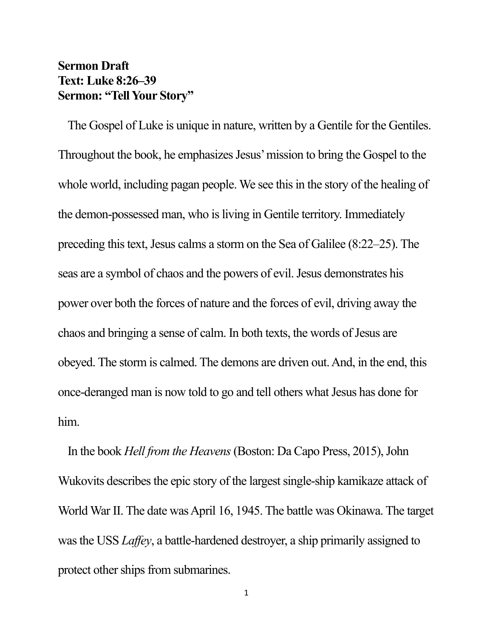## **Sermon Draft Text: Luke 8:26–39 Sermon: "Tell Your Story"**

The Gospel of Luke is unique in nature, written by a Gentile for the Gentiles. Throughout the book, he emphasizes Jesus' mission to bring the Gospel to the whole world, including pagan people. We see this in the story of the healing of the demon-possessed man, who is living in Gentile territory. Immediately preceding this text, Jesus calms a storm on the Sea of Galilee (8:22–25). The seas are a symbol of chaos and the powers of evil. Jesus demonstrates his power over both the forces of nature and the forces of evil, driving away the chaos and bringing a sense of calm. In both texts, the words of Jesus are obeyed. The storm is calmed. The demons are driven out. And, in the end, this once-deranged man is now told to go and tell others what Jesus has done for him.

In the book *Hell from the Heavens*(Boston: Da Capo Press, 2015), John Wukovits describes the epic story of the largest single-ship kamikaze attack of World War II. The date was April 16, 1945. The battle was Okinawa. The target was the USS *Laffey*, a battle-hardened destroyer, a ship primarily assigned to protect other ships from submarines.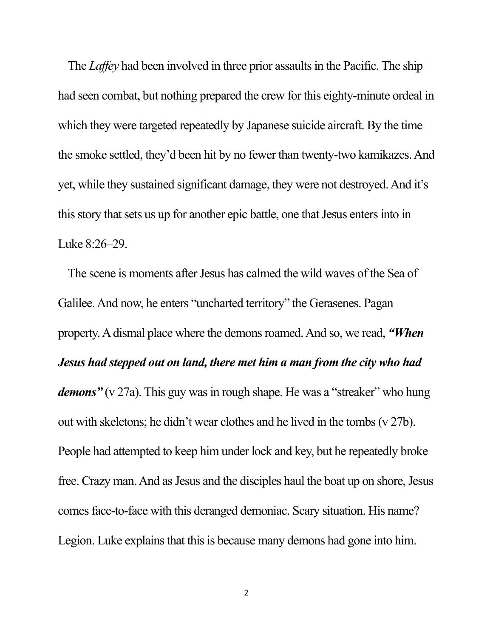The *Laffey* had been involved in three prior assaults in the Pacific. The ship had seen combat, but nothing prepared the crew for this eighty-minute ordeal in which they were targeted repeatedly by Japanese suicide aircraft. By the time the smoke settled, they'd been hit by no fewer than twenty-two kamikazes. And yet, while they sustained significant damage, they were not destroyed. And it's this story that sets us up for another epic battle, one that Jesus enters into in Luke 8:26–29.

The scene is moments after Jesus has calmed the wild waves of the Sea of Galilee. And now, he enters "uncharted territory" the Gerasenes. Pagan property. A dismal place where the demons roamed. And so, we read, *"When Jesus had stepped out on land, there met him a man from the city who had demons*" (v 27a). This guy was in rough shape. He was a "streaker" who hung out with skeletons; he didn't wear clothes and he lived in the tombs (v 27b). People had attempted to keep him under lock and key, but he repeatedly broke free. Crazy man. And as Jesus and the disciples haul the boat up on shore, Jesus comes face-to-face with this deranged demoniac. Scary situation. His name? Legion. Luke explains that this is because many demons had gone into him.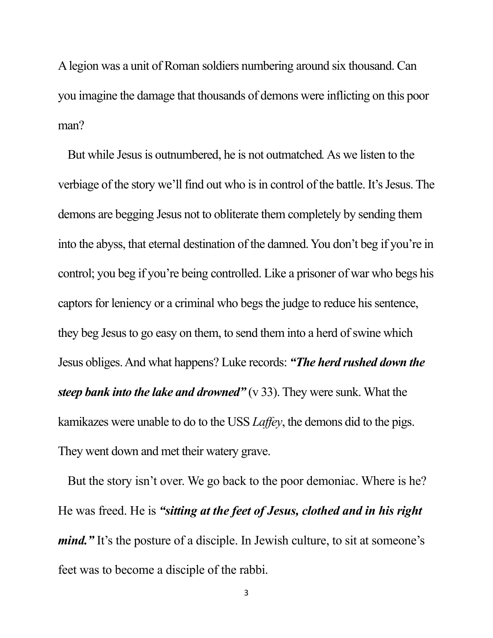A legion was a unit of Roman soldiers numbering around six thousand. Can you imagine the damage that thousands of demons were inflicting on this poor man?

But while Jesus is outnumbered, he is not outmatched*.*As we listen to the verbiage of the story we'll find out who is in control of the battle. It's Jesus. The demons are begging Jesus not to obliterate them completely by sending them into the abyss, that eternal destination of the damned. You don't beg if you're in control; you beg if you're being controlled. Like a prisoner of war who begs his captors for leniency or a criminal who begs the judge to reduce his sentence, they beg Jesus to go easy on them, to send them into a herd of swine which Jesus obliges. And what happens? Luke records: *"The herd rushed down the steep bank into the lake and drowned"* (v 33). They were sunk. What the kamikazes were unable to do to the USS *Laffey*, the demons did to the pigs. They went down and met their watery grave.

But the story isn't over. We go back to the poor demoniac. Where is he? He was freed. He is *"sitting at the feet of Jesus, clothed and in his right mind.*" It's the posture of a disciple. In Jewish culture, to sit at someone's feet was to become a disciple of the rabbi.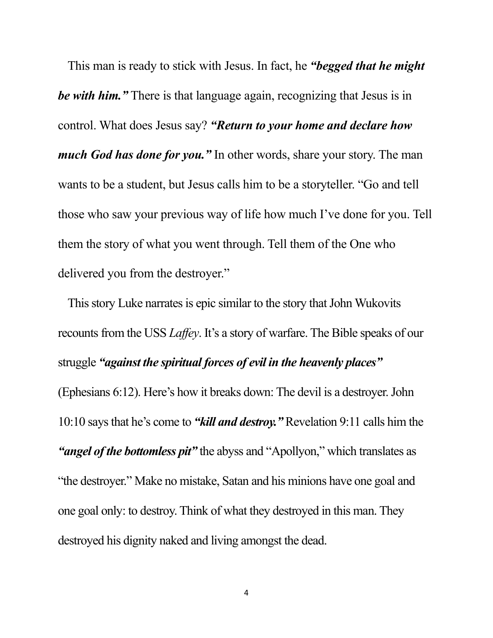This man is ready to stick with Jesus. In fact, he *"begged that he might be with him."* There is that language again, recognizing that Jesus is in control. What does Jesus say? *"Return to your home and declare how much God has done for you."* In other words, share your story. The man wants to be a student, but Jesus calls him to be a storyteller. "Go and tell those who saw your previous way of life how much I've done for you. Tell them the story of what you went through. Tell them of the One who delivered you from the destroyer."

This story Luke narrates is epic similar to the story that John Wukovits recounts from the USS *Laffey*. It's a story of warfare. The Bible speaks of our struggle *"against the spiritual forces of evil in the heavenly places"* (Ephesians 6:12). Here's how it breaks down: The devil is a destroyer.John 10:10 says that he's come to *"kill and destroy."* Revelation 9:11 calls him the *"angel of the bottomless pit"* the abyss and "Apollyon," which translates as "the destroyer." Make no mistake, Satan and his minions have one goal and one goal only: to destroy. Think of what they destroyed in this man. They destroyed his dignity naked and living amongst the dead.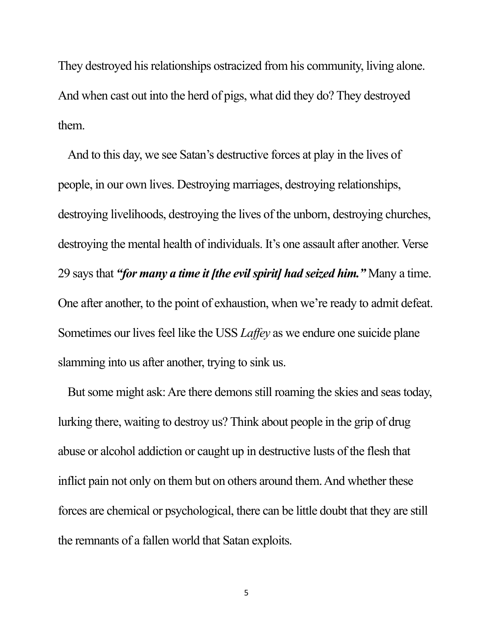They destroyed his relationships ostracized from his community, living alone. And when cast out into the herd of pigs, what did they do? They destroyed them.

And to this day, we see Satan's destructive forces at play in the lives of people, in our own lives. Destroying marriages, destroying relationships, destroying livelihoods, destroying the lives of the unborn, destroying churches, destroying the mental health of individuals. It's one assault after another. Verse 29 says that *"for many a time it [the evil spirit] had seized him."* Many a time. One after another, to the point of exhaustion, when we're ready to admit defeat. Sometimes our lives feel like the USS *Laffey* as we endure one suicide plane slamming into us after another, trying to sink us.

But some might ask: Are there demons still roaming the skies and seas today, lurking there, waiting to destroy us? Think about people in the grip of drug abuse or alcohol addiction or caught up in destructive lusts of the flesh that inflict pain not only on them but on others around them. And whether these forces are chemical or psychological, there can be little doubt that they are still the remnants of a fallen world that Satan exploits.

5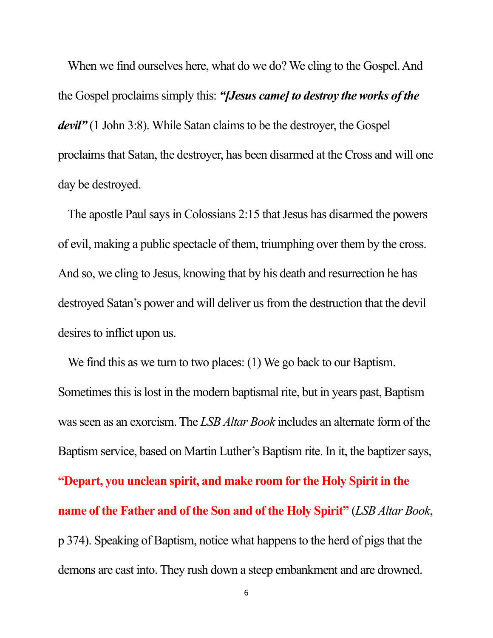When we find ourselves here, what do we do? We cling to the Gospel. And the Gospel proclaims simply this: *"[Jesus came] to destroy the works of the devil*" (1 John 3:8). While Satan claims to be the destroyer, the Gospel proclaims that Satan, the destroyer, has been disarmed at the Cross and will one day be destroyed.

The apostle Paul says in Colossians 2:15 that Jesus has disarmed the powers of evil, making a public spectacle of them, triumphing over them by the cross. And so, we cling to Jesus, knowing that by his death and resurrection he has destroyed Satan's power and will deliver us from the destruction that the devil desires to inflict upon us.

We find this as we turn to two places: (1) We go back to our Baptism. Sometimes this is lost in the modern baptismal rite, but in years past, Baptism was seen as an exorcism. The *LSB Altar Book* includes an alternate form of the Baptism service, based on Martin Luther's Baptism rite. In it, the baptizer says, **"Depart, you unclean spirit, and make room for the Holy Spirit in the name of the Father and of the Son and of the Holy Spirit"** (*LSB Altar Book*, p 374). Speaking of Baptism, notice what happens to the herd of pigs that the demons are cast into. They rush down a steep embankment and are drowned.